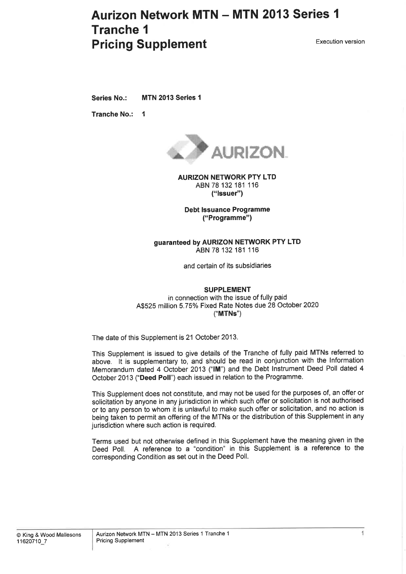# **Aurizon Network MTN - MTN 2013 Series 1** Tranche I **Pricing Supplement** Execution version

Series No.: MTN 2013 Series 1

Tranche No.: <sup>1</sup>



AURIZON NETWORK PTY LTD ABN 78 132 181 116 ("lssuer")

Debt lssuance Programme ("Programme")

#### guaranteed by AURIZON NETWORK PTY LTD ABN 78 132 181 116

and certain of its subsidiaries

#### SUPPLEMENT

in connection with the issue of fully paid A\$525 million 5.75% Fixed Rate Notes due 28 October 2020 ("MTNs")

The date of this Supplement is 21 October 2013.

This Supplement is issued to give details of the Tranche of fully paid MTNs referred to above. lt is supplementary to, and should be read in conjunction with the lnformation Memorandum dated 4 October 2013 ("1M") and the Debt lnstrument Deed Poll dated 4 October 2013 ("Deed Poll") each issued in relation to the Programme.

This Supplement does not constitute, and may not be used for the purposes of, an offer or solicitation by anyone in any jurisdiction in which such offer or solicitation is not authorised or to any person to whom it is unlawful to make such otfer or solicitation, and no action is being taken to permit an offering of the MTNs or the distribution of this Supplement in any jurisdiction where such action is required.

Terms used but not otherwise defined in this Supplement have the meaning given in the Deed Poll. A reference to a "condition" in this Supplement is a reference to the corresponding Condition as set out in the Deed Poll.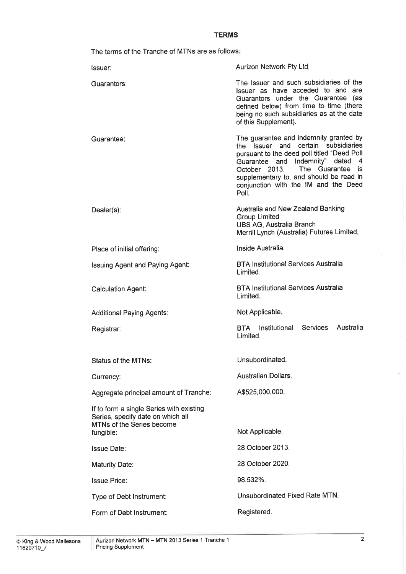### **TERMS**

The terms of the Tranche of MTNs are as follows

| The Issuer and such subsidiaries of the<br>Guarantors:<br>Issuer as have acceded to and are<br>Guarantors under the Guarantee (as<br>defined below) from time to time (there<br>being no such subsidiaries as at the date<br>of this Supplement).<br>The guarantee and indemnity granted by<br>Guarantee:<br>certain subsidiaries<br>the Issuer and<br>pursuant to the deed poll titled "Deed Poll<br>Indemnity" dated<br>Guarantee and<br>-4<br>The Guarantee<br>October 2013.<br><b>is</b><br>supplementary to, and should be read in<br>conjunction with the IM and the Deed<br>Poll.<br>Australia and New Zealand Banking<br>Dealer(s):<br><b>Group Limited</b><br>UBS AG, Australia Branch<br>Merrill Lynch (Australia) Futures Limited.<br>Inside Australia.<br>Place of initial offering:<br><b>BTA Institutional Services Australia</b><br><b>Issuing Agent and Paying Agent:</b><br>Limited.<br><b>BTA Institutional Services Australia</b><br><b>Calculation Agent:</b><br>Limited.<br>Not Applicable.<br><b>Additional Paying Agents:</b><br>Australia<br>Institutional<br>Services<br>BTA<br>Registrar:<br>Limited. |
|---------------------------------------------------------------------------------------------------------------------------------------------------------------------------------------------------------------------------------------------------------------------------------------------------------------------------------------------------------------------------------------------------------------------------------------------------------------------------------------------------------------------------------------------------------------------------------------------------------------------------------------------------------------------------------------------------------------------------------------------------------------------------------------------------------------------------------------------------------------------------------------------------------------------------------------------------------------------------------------------------------------------------------------------------------------------------------------------------------------------------------|
|                                                                                                                                                                                                                                                                                                                                                                                                                                                                                                                                                                                                                                                                                                                                                                                                                                                                                                                                                                                                                                                                                                                                 |
|                                                                                                                                                                                                                                                                                                                                                                                                                                                                                                                                                                                                                                                                                                                                                                                                                                                                                                                                                                                                                                                                                                                                 |
|                                                                                                                                                                                                                                                                                                                                                                                                                                                                                                                                                                                                                                                                                                                                                                                                                                                                                                                                                                                                                                                                                                                                 |
|                                                                                                                                                                                                                                                                                                                                                                                                                                                                                                                                                                                                                                                                                                                                                                                                                                                                                                                                                                                                                                                                                                                                 |
|                                                                                                                                                                                                                                                                                                                                                                                                                                                                                                                                                                                                                                                                                                                                                                                                                                                                                                                                                                                                                                                                                                                                 |
|                                                                                                                                                                                                                                                                                                                                                                                                                                                                                                                                                                                                                                                                                                                                                                                                                                                                                                                                                                                                                                                                                                                                 |
|                                                                                                                                                                                                                                                                                                                                                                                                                                                                                                                                                                                                                                                                                                                                                                                                                                                                                                                                                                                                                                                                                                                                 |
|                                                                                                                                                                                                                                                                                                                                                                                                                                                                                                                                                                                                                                                                                                                                                                                                                                                                                                                                                                                                                                                                                                                                 |
| Unsubordinated.<br><b>Status of the MTNs:</b>                                                                                                                                                                                                                                                                                                                                                                                                                                                                                                                                                                                                                                                                                                                                                                                                                                                                                                                                                                                                                                                                                   |
| Australian Dollars.<br>Currency:                                                                                                                                                                                                                                                                                                                                                                                                                                                                                                                                                                                                                                                                                                                                                                                                                                                                                                                                                                                                                                                                                                |
| A\$525,000,000.<br>Aggregate principal amount of Tranche:                                                                                                                                                                                                                                                                                                                                                                                                                                                                                                                                                                                                                                                                                                                                                                                                                                                                                                                                                                                                                                                                       |
| If to form a single Series with existing<br>Series, specify date on which all<br>MTNs of the Series become<br>Not Applicable.<br>fungible:                                                                                                                                                                                                                                                                                                                                                                                                                                                                                                                                                                                                                                                                                                                                                                                                                                                                                                                                                                                      |
| 28 October 2013.<br><b>Issue Date:</b>                                                                                                                                                                                                                                                                                                                                                                                                                                                                                                                                                                                                                                                                                                                                                                                                                                                                                                                                                                                                                                                                                          |
| 28 October 2020.<br><b>Maturity Date:</b>                                                                                                                                                                                                                                                                                                                                                                                                                                                                                                                                                                                                                                                                                                                                                                                                                                                                                                                                                                                                                                                                                       |
| 98.532%.<br><b>Issue Price:</b>                                                                                                                                                                                                                                                                                                                                                                                                                                                                                                                                                                                                                                                                                                                                                                                                                                                                                                                                                                                                                                                                                                 |
| Unsubordinated Fixed Rate MTN.                                                                                                                                                                                                                                                                                                                                                                                                                                                                                                                                                                                                                                                                                                                                                                                                                                                                                                                                                                                                                                                                                                  |
| Type of Debt Instrument:<br>Registered.<br>Form of Debt Instrument:                                                                                                                                                                                                                                                                                                                                                                                                                                                                                                                                                                                                                                                                                                                                                                                                                                                                                                                                                                                                                                                             |

 $\bar{\nu}$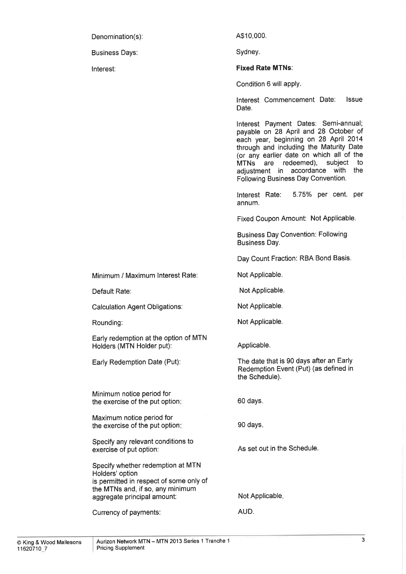Denomination(s):

Business Days:

lnterest:

A\$10,000.

Sydney

### Fixed Rate MTNs:

Condition 6 will apply

lnterest Commencement Date: Date. lssue

lnterest Payment Dates: Semi-annual; payable on 28 April and 28 October of each year, beginning on 28 April 2014 through and including the Maturity Date (or any earlier date on which all of the<br>MTNs are redeemed), subject to MTNs are redeemed), adjustment in accordance with the Following Business Day Convention.

Interest Rate: 5.75% per cent. per annum.

Fixed Coupon Amount: Not Applicable.

Business Day Convention: Following Business Day.

Day Count Fraction: RBA Bond Basis.

Not Applicable.

Not Applicable.

Not Applicable.

Not Applicable.

Applicable.

The date that is 90 days after an Early Redemption Event (Put) (as defined in the Schedule).

Minimum notice period for the exercise of the put option:

Minimum / Maximum lnterest Rate:

Early redemption at the option of MTN

Calculation Agent Obligations:

Holders (MTN Holder put):

Early Redemption Date (Put):

Default Rate:

Rounding:

Maximum notice period for the exercise of the put option

Specify any relevant conditions to exercise of put option:

Specify whether redemption at MTN Holders'option is permitted in respect of some only of the MTNs and, if so, any minimum aggregate principal amount:

Currency of payments:

90 days

60 days

As set out in the Schedule.

Not Applicable

AUD.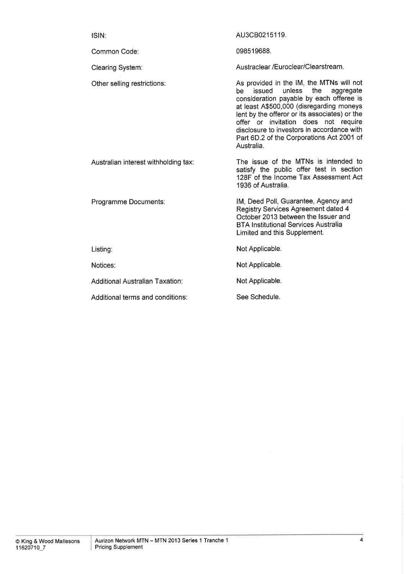| ISIN:                                | AU3CB0215119.                                                                                                                                                                                                                                                                                                                                                                    |
|--------------------------------------|----------------------------------------------------------------------------------------------------------------------------------------------------------------------------------------------------------------------------------------------------------------------------------------------------------------------------------------------------------------------------------|
| Common Code:                         | 098519688.                                                                                                                                                                                                                                                                                                                                                                       |
| <b>Clearing System:</b>              | Austraclear /Euroclear/Clearstream.                                                                                                                                                                                                                                                                                                                                              |
| Other selling restrictions:          | As provided in the IM, the MTNs will not<br>unless<br>the<br>issued<br>be<br>aggregate<br>consideration payable by each offeree is<br>at least A\$500,000 (disregarding moneys<br>lent by the offeror or its associates) or the<br>offer or invitation does not require<br>disclosure to investors in accordance with<br>Part 6D.2 of the Corporations Act 2001 of<br>Australia. |
| Australian interest withholding tax: | The issue of the MTNs is intended to<br>satisfy the public offer test in section<br>128F of the Income Tax Assessment Act<br>1936 of Australia.                                                                                                                                                                                                                                  |
| Programme Documents:                 | IM, Deed Poll, Guarantee, Agency and<br>Registry Services Agreement dated 4<br>October 2013 between the Issuer and<br><b>BTA Institutional Services Australia</b><br>Limited and this Supplement.                                                                                                                                                                                |
| Listing:                             | Not Applicable.                                                                                                                                                                                                                                                                                                                                                                  |
| Notices:                             | Not Applicable.                                                                                                                                                                                                                                                                                                                                                                  |
| Additional Australian Taxation:      | Not Applicable.                                                                                                                                                                                                                                                                                                                                                                  |
| Additional terms and conditions:     | See Schedule.                                                                                                                                                                                                                                                                                                                                                                    |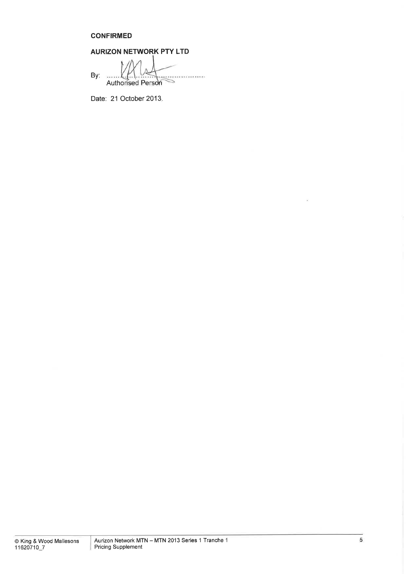### **CONFIRMED**

## AURIZON NETWORK PTY LTD

| By: |                   |  |
|-----|-------------------|--|
|     | Authorised Person |  |

Date: 21 October 2013.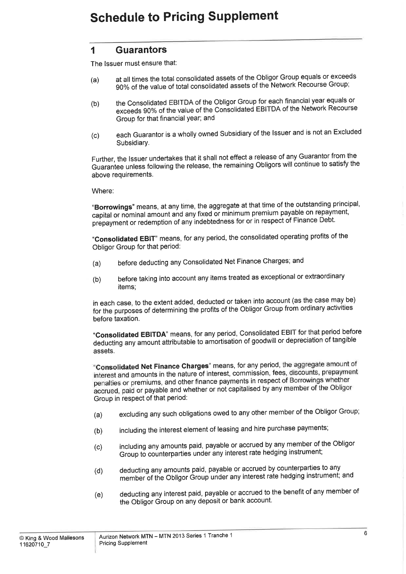### **Schedule to Pricing Supplement**

### I Guarantors

The lssuer must ensure that:

- (a) at all times the total consolidated assets of the Obligor Group equals or exceeds 90% of the value of total consolidated assets of the Network Recourse Group;
- (b) the Consolidated EBITDA of the Obligor Group for each financial year equals or exceeds 90% of the value of the Consolidated EBITDA of the Network Recourse Group for that financial year; and
- (c) each Guarantor is a wholly owned Subsidiary of the lssuer and is not an Excluded Subsidiary.

Further, the lssuer undertakes that it shall not effect a release of any Guarantor from the Guaranîee unless following the release, the remaining Obligors will continue to satisfy the above requirements.

Where:

"Borrowings" means, at any time, the aggregate at that time of the outstanding principal, capital or nominal amount and any fixed or minimum premium payable on repayment, prepayment or redemption of any indebtedness for or in respect of Finance Debt.

"Consolidated EBIT" means, for any period, the consolidated operating profits of the Obligor Group for that period:

- (a) before deducting any Consolidated Net Finance Charges; and
- (b) before taking into account any items treated as exceptional or extraordinary items;

in each case, to the extent added, deducted or taken into account (as the case may be) for the purposes of determining the profits of the Obligor Group from ordinary activities before taxation.

"Consolidated EBITDA" means, for any period, Consolidated EBIT for that period before deducting any amount attributable to amortisation of goodwill or depreciation of tangible assets.

"Consolidated Net Finance Charges" means, for any period, the aggregate amount of interest and amounts in the nature of interest, commission, fees, discounts, prepayment penalties or premiums, and other finance payments in respect of Borrowings whether accrued, paid or payable and whether or not capitalised by any member of the Obligor Group in respect of that period:

- (a) excluding any such obligations owed to any other member of the Obligor Group;
- (b) including the interest element of leasing and hire purchase payments;
- (c) including any amounts paid, payable or accrued by any member of the obligor Group to counterparties under any interest rate hedging instrument;
- (d) deducting any amounts paid, payable or accrued by counterparties to any member of the Obligor öroup'under any interest rate hedging instrument; and
- (e) deducting any interest paid, payable or accrued to the benefit of any member of the Obligor Group on any deposit or bank account.